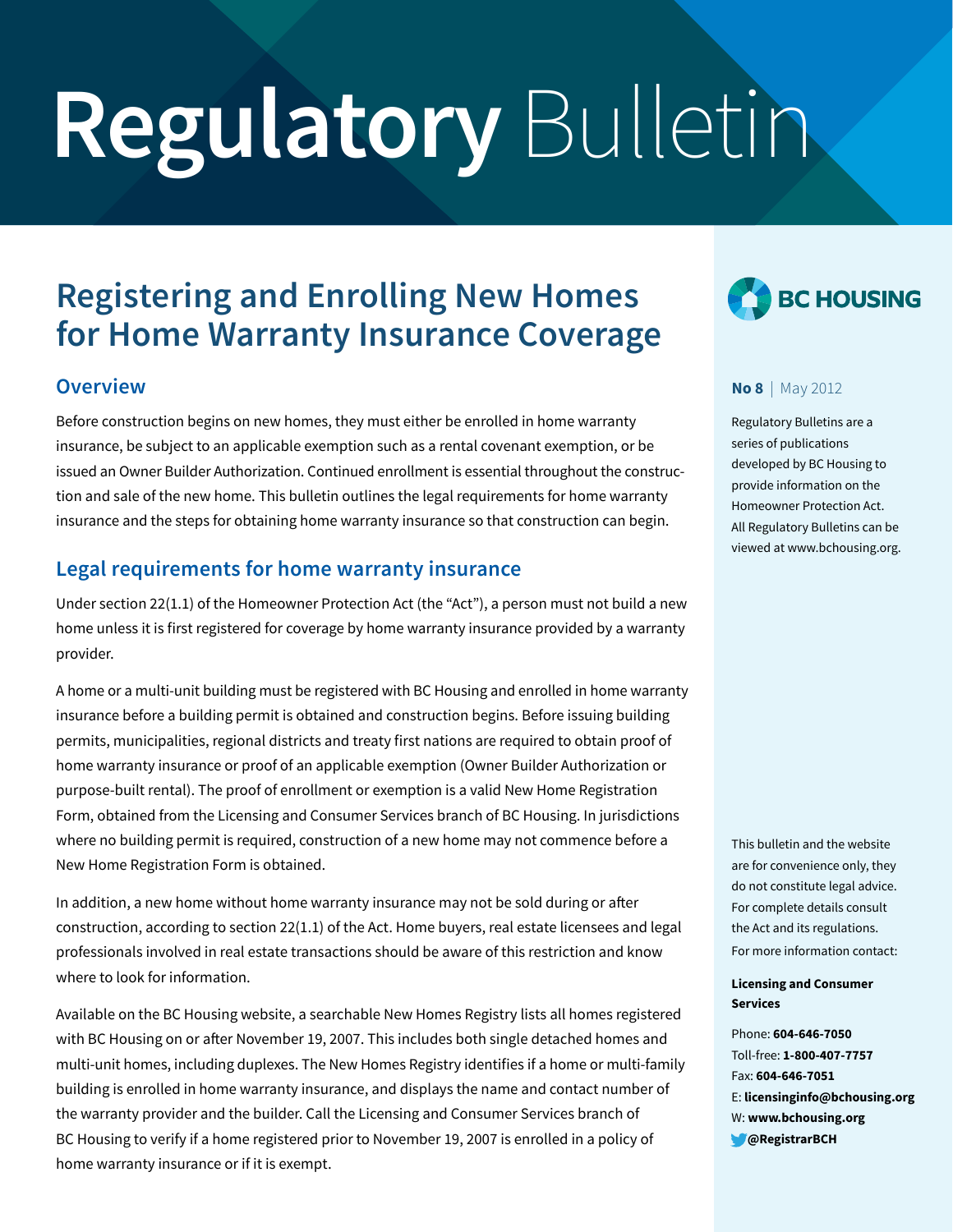# **Regulatory** Bulletin

# **Registering and Enrolling New Homes for Home Warranty Insurance Coverage**

### **Overview**

Before construction begins on new homes, they must either be enrolled in home warranty insurance, be subject to an applicable exemption such as a rental covenant exemption, or be issued an Owner Builder Authorization. Continued enrollment is essential throughout the construction and sale of the new home. This bulletin outlines the legal requirements for home warranty insurance and the steps for obtaining home warranty insurance so that construction can begin.

# **Legal requirements for home warranty insurance**

Under section 22(1.1) of the Homeowner Protection Act (the "Act"), a person must not build a new home unless it is first registered for coverage by home warranty insurance provided by a warranty provider.

A home or a multi-unit building must be registered with BC Housing and enrolled in home warranty insurance before a building permit is obtained and construction begins. Before issuing building permits, municipalities, regional districts and treaty first nations are required to obtain proof of home warranty insurance or proof of an applicable exemption (Owner Builder Authorization or purpose-built rental). The proof of enrollment or exemption is a valid New Home Registration Form, obtained from the Licensing and Consumer Services branch of BC Housing. In jurisdictions where no building permit is required, construction of a new home may not commence before a New Home Registration Form is obtained.

In addition, a new home without home warranty insurance may not be sold during or after construction, according to section 22(1.1) of the Act. Home buyers, real estate licensees and legal professionals involved in real estate transactions should be aware of this restriction and know where to look for information.

Available on the BC Housing website, a searchable New Homes Registry lists all homes registered with BC Housing on or after November 19, 2007. This includes both single detached homes and multi-unit homes, including duplexes. The New Homes Registry identifies if a home or multi-family building is enrolled in home warranty insurance, and displays the name and contact number of the warranty provider and the builder. Call the Licensing and Consumer Services branch of BC Housing to verify if a home registered prior to November 19, 2007 is enrolled in a policy of home warranty insurance or if it is exempt.



#### **No 8** | May 2012

Regulatory Bulletins are a series of publications developed by BC Housing to provide information on the Homeowner Protection Act. All Regulatory Bulletins can be viewed at www.bchousing.org.

This bulletin and the website are for convenience only, they do not constitute legal advice. For complete details consult the Act and its regulations. For more information contact:

#### **Licensing and Consumer Services**

Phone: **604-646-7050** Toll-free: **1-800-407-7757** Fax: **604-646-7051** E: **licensinginfo@bchousing.org** W: **www.bchousing.org @RegistrarBCH**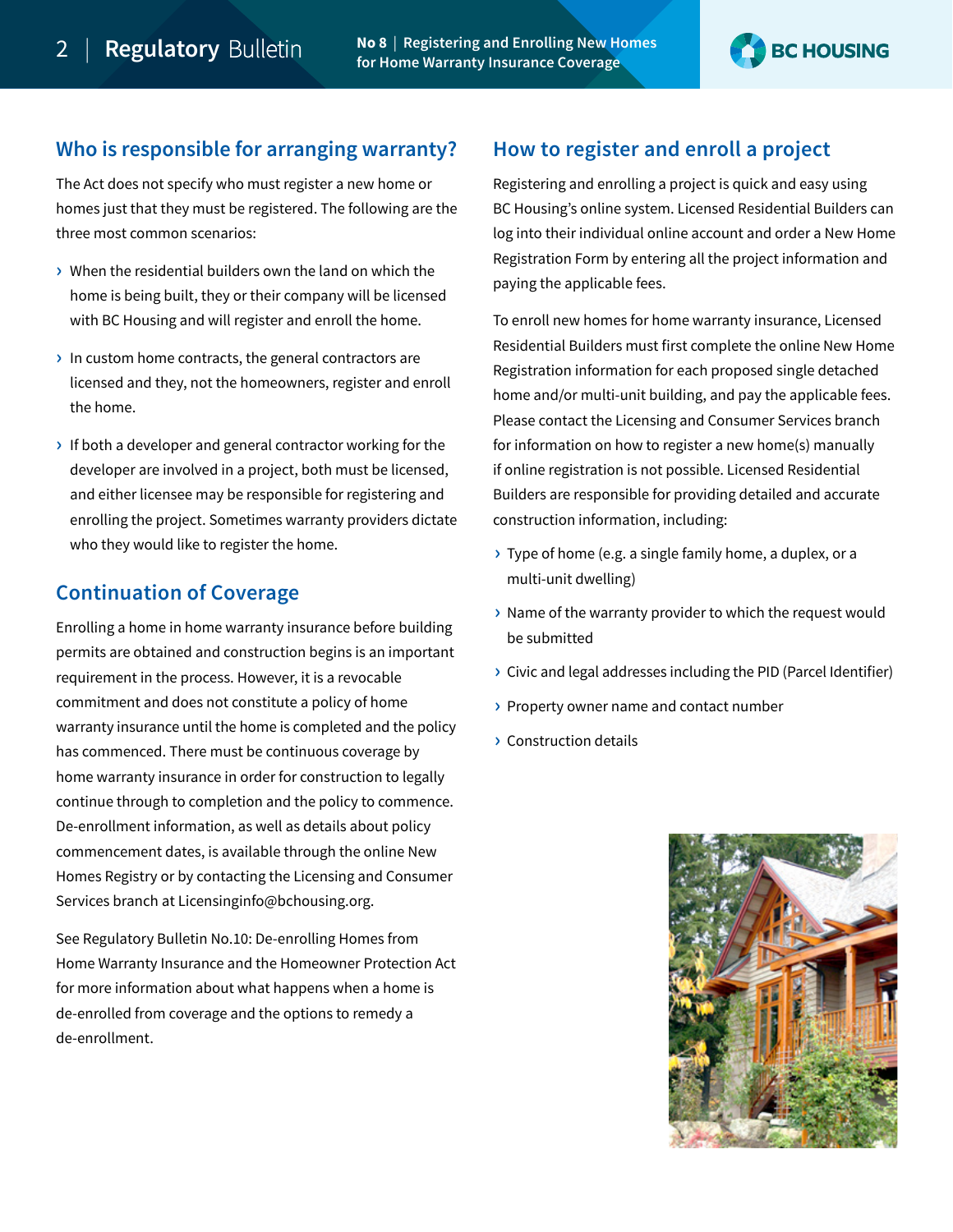

## **Who is responsible for arranging warranty?**

The Act does not specify who must register a new home or homes just that they must be registered. The following are the three most common scenarios:

- **›** When the residential builders own the land on which the home is being built, they or their company will be licensed with BC Housing and will register and enroll the home.
- **›** In custom home contracts, the general contractors are licensed and they, not the homeowners, register and enroll the home.
- **›** If both a developer and general contractor working for the developer are involved in a project, both must be licensed, and either licensee may be responsible for registering and enrolling the project. Sometimes warranty providers dictate who they would like to register the home.

# **Continuation of Coverage**

Enrolling a home in home warranty insurance before building permits are obtained and construction begins is an important requirement in the process. However, it is a revocable commitment and does not constitute a policy of home warranty insurance until the home is completed and the policy has commenced. There must be continuous coverage by home warranty insurance in order for construction to legally continue through to completion and the policy to commence. De-enrollment information, as well as details about policy commencement dates, is available through the online New Homes Registry or by contacting the Licensing and Consumer Services branch at<Licensinginfo@bchousing.org>.

See [Regulatory Bulletin No.10: De-enrolling Homes from](https://hpo.bc.ca/sites/default/files/download/Bulletins/RegBulletin_10_De-enrolling_Homes.pdf)  [Home Warranty Insurance and the Homeowner Protection Act](https://hpo.bc.ca/sites/default/files/download/Bulletins/RegBulletin_10_De-enrolling_Homes.pdf) for more information about what happens when a home is de-enrolled from coverage and the options to remedy a de-enrollment.

# **How to register and enroll a project**

Registering and enrolling a project is quick and easy using BC Housing's online system. Licensed Residential Builders can log into their individual online account and order a New Home Registration Form by entering all the project information and paying the applicable fees.

To enroll new homes for home warranty insurance, Licensed Residential Builders must first complete the online New Home Registration information for each proposed single detached home and/or multi-unit building, and pay the applicable fees. Please contact the Licensing and Consumer Services branch for information on how to register a new home(s) manually if online registration is not possible. Licensed Residential Builders are responsible for providing detailed and accurate construction information, including:

- **›** Type of home (e.g. a single family home, a duplex, or a multi-unit dwelling)
- **›** Name of the warranty provider to which the request would be submitted
- **›** Civic and legal addresses including the PID (Parcel Identifier)
- **›** Property owner name and contact number
- **›** Construction details